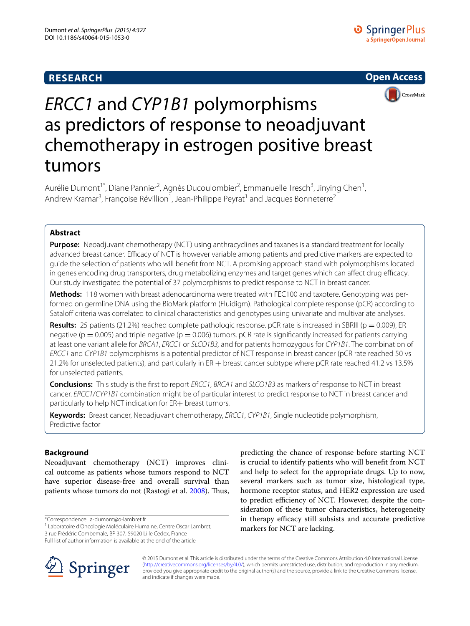# **RESEARCH**





# *ERCC1* and *CYP1B1* polymorphisms as predictors of response to neoadjuvant chemotherapy in estrogen positive breast tumors

Aurélie Dumont<sup>1\*</sup>, Diane Pannier<sup>2</sup>, Agnès Ducoulombier<sup>2</sup>, Emmanuelle Tresch<sup>3</sup>, Jinying Chen<sup>1</sup>, Andrew Kramar<sup>3</sup>, Françoise Révillion<sup>1</sup>, Jean-Philippe Peyrat<sup>1</sup> and Jacques Bonneterre<sup>2</sup>

# **Abstract**

**Purpose:** Neoadjuvant chemotherapy (NCT) using anthracyclines and taxanes is a standard treatment for locally advanced breast cancer. Efficacy of NCT is however variable among patients and predictive markers are expected to guide the selection of patients who will benefit from NCT. A promising approach stand with polymorphisms located in genes encoding drug transporters, drug metabolizing enzymes and target genes which can affect drug efficacy. Our study investigated the potential of 37 polymorphisms to predict response to NCT in breast cancer.

**Methods:** 118 women with breast adenocarcinoma were treated with FEC100 and taxotere. Genotyping was performed on germline DNA using the BioMark platform (Fluidigm). Pathological complete response (pCR) according to Sataloff criteria was correlated to clinical characteristics and genotypes using univariate and multivariate analyses.

**Results:** 25 patients (21.2%) reached complete pathologic response. pCR rate is increased in SBRIII (p = 0.009), ER negative ( $p = 0.005$ ) and triple negative ( $p = 0.006$ ) tumors. pCR rate is significantly increased for patients carrying at least one variant allele for *BRCA1*, *ERCC1* or *SLCO1B3,* and for patients homozygous for *CYP1B1*. The combination of *ERCC1* and *CYP1B1* polymorphisms is a potential predictor of NCT response in breast cancer (pCR rate reached 50 vs 21.2% for unselected patients), and particularly in ER + breast cancer subtype where pCR rate reached 41.2 vs 13.5% for unselected patients.

**Conclusions:** This study is the first to report *ERCC1*, *BRCA1* and *SLCO1B3* as markers of response to NCT in breast cancer. *ERCC1*/*CYP1B1* combination might be of particular interest to predict response to NCT in breast cancer and particularly to help NCT indication for ER+ breast tumors.

**Keywords:** Breast cancer, Neoadjuvant chemotherapy, *ERCC1*, *CYP1B1*, Single nucleotide polymorphism, Predictive factor

## **Background**

Neoadjuvant chemotherapy (NCT) improves clinical outcome as patients whose tumors respond to NCT have superior disease-free and overall survival than patients whose tumors do not (Rastogi et al. [2008\)](#page-8-0). Thus,

\*Correspondence: a‑dumont@o‑lambret.fr

<sup>1</sup> Laboratoire d'Oncologie Moléculaire Humaine, Centre Oscar Lambret,

<sup>3</sup> rue Frédéric Combemale, BP 307, 59020 Lille Cedex, France







© 2015 Dumont et al. This article is distributed under the terms of the Creative Commons Attribution 4.0 International License [\(http://creativecommons.org/licenses/by/4.0/\)](http://creativecommons.org/licenses/by/4.0/), which permits unrestricted use, distribution, and reproduction in any medium, provided you give appropriate credit to the original author(s) and the source, provide a link to the Creative Commons license, and indicate if changes were made.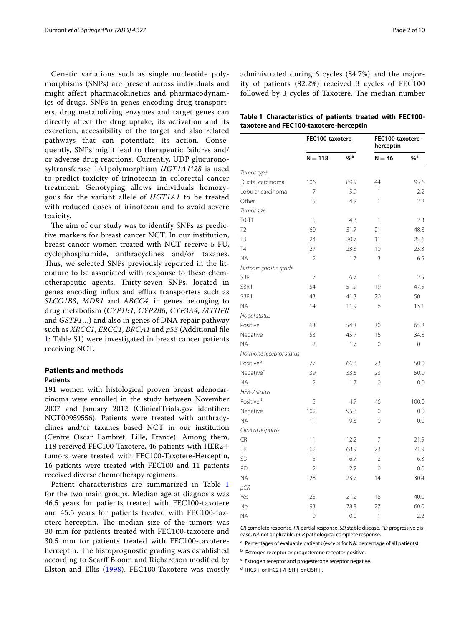Genetic variations such as single nucleotide polymorphisms (SNPs) are present across individuals and might affect pharmacokinetics and pharmacodynamics of drugs. SNPs in genes encoding drug transporters, drug metabolizing enzymes and target genes can directly affect the drug uptake, its activation and its excretion, accessibility of the target and also related pathways that can potentiate its action. Consequently, SNPs might lead to therapeutic failures and/ or adverse drug reactions. Currently, UDP glucuronosyltransferase 1A1polymorphism *UGT1A1\*28* is used to predict toxicity of irinotecan in colorectal cancer treatment. Genotyping allows individuals homozygous for the variant allele of *UGT1A1* to be treated with reduced doses of irinotecan and to avoid severe toxicity.

The aim of our study was to identify SNPs as predictive markers for breast cancer NCT. In our institution, breast cancer women treated with NCT receive 5-FU, cyclophosphamide, anthracyclines and/or taxanes. Thus, we selected SNPs previously reported in the literature to be associated with response to these chemotherapeutic agents. Thirty-seven SNPs, located in genes encoding influx and efflux transporters such as *SLCO1B3*, *MDR1* and *ABCC4*, in genes belonging to drug metabolism (*CYP1B1*, *CYP2B6*, *CYP3A4*, *MTHFR* and *GSTP1*…) and also in genes of DNA repair pathway such as *XRCC1*, *ERCC1*, *BRCA1* and *p53* (Additional file [1:](#page-8-1) Table S1) were investigated in breast cancer patients receiving NCT.

# **Patients and methods**

#### **Patients**

191 women with histological proven breast adenocarcinoma were enrolled in the study between November 2007 and January 2012 (ClinicalTrials.gov identifier: NCT00959556). Patients were treated with anthracyclines and/or taxanes based NCT in our institution (Centre Oscar Lambret, Lille, France). Among them, 118 received FEC100-Taxotere, 46 patients with HER2+ tumors were treated with FEC100-Taxotere-Herceptin, 16 patients were treated with FEC100 and 11 patients received diverse chemotherapy regimens.

Patient characteristics are summarized in Table [1](#page-1-0) for the two main groups. Median age at diagnosis was 46.5 years for patients treated with FEC100-taxotere and 45.5 years for patients treated with FEC100-taxotere-herceptin. The median size of the tumors was 30 mm for patients treated with FEC100-taxotere and 30.5 mm for patients treated with FEC100-taxotereherceptin. The histoprognostic grading was established according to Scarff Bloom and Richardson modified by Elston and Ellis ([1998\)](#page-8-2). FEC100-Taxotere was mostly

administrated during 6 cycles (84.7%) and the majority of patients (82.2%) received 3 cycles of FEC100 followed by 3 cycles of Taxotere. The median number

<span id="page-1-0"></span>

| Table 1 Characteristics of patients treated with FEC100- |  |  |  |
|----------------------------------------------------------|--|--|--|
| taxotere and FEC100-taxotere-herceptin                   |  |  |  |

|                         | FEC100-taxotere |                  | FEC100-taxotere-<br>herceptin |                   |
|-------------------------|-----------------|------------------|-------------------------------|-------------------|
|                         | $N = 118$       | $%$ <sup>a</sup> | $N = 46$                      | $\%$ <sup>a</sup> |
| Tumor type              |                 |                  |                               |                   |
| Ductal carcinoma        | 106             | 89.9             | 44                            | 95.6              |
| Lobular carcinoma       | $\overline{7}$  | 5.9              | 1                             | 2.2               |
| Other                   | 5               | 4.2              | 1                             | 2.2               |
| Tumor size              |                 |                  |                               |                   |
| $TO-T1$                 | 5               | 4.3              | 1                             | 2.3               |
| T <sub>2</sub>          | 60              | 51.7             | 21                            | 48.8              |
| T <sub>3</sub>          | 24              | 20.7             | 11                            | 25.6              |
| T <sub>4</sub>          | 27              | 23.3             | 10                            | 23.3              |
| <b>NA</b>               | $\overline{2}$  | 1.7              | 3                             | 6.5               |
| Histoprognostic grade   |                 |                  |                               |                   |
| <b>SBRI</b>             | 7               | 6.7              | 1                             | 2.5               |
| <b>SBRII</b>            | 54              | 51.9             | 19                            | 47.5              |
| <b>SBRIII</b>           | 43              | 41.3             | 20                            | 50                |
| <b>NA</b>               | 14              | 11.9             | 6                             | 13.1              |
| Nodal status            |                 |                  |                               |                   |
| Positive                | 63              | 54.3             | 30                            | 65.2              |
| Negative                | 53              | 45.7             | 16                            | 34.8              |
| <b>NA</b>               | $\overline{2}$  | 1.7              | $\mathbf 0$                   | $\overline{0}$    |
| Hormone receptor status |                 |                  |                               |                   |
| Positiveb               | 77              | 66.3             | 23                            | 50.0              |
| Negative <sup>c</sup>   | 39              | 33.6             | 23                            | 50.0              |
| <b>NA</b>               | $\overline{2}$  | 1.7              | 0                             | 0.0               |
| HER-2 status            |                 |                  |                               |                   |
| Positive <sup>d</sup>   | 5               | 4.7              | 46                            | 100.0             |
| Negative                | 102             | 95.3             | 0                             | 0.0               |
| <b>NA</b>               | 11              | 9.3              | 0                             | 0.0               |
| Clinical response       |                 |                  |                               |                   |
| <b>CR</b>               | 11              | 12.2             | 7                             | 21.9              |
| PR                      | 62              | 68.9             | 23                            | 71.9              |
| SD                      | 15              | 16.7             | $\overline{2}$                | 6.3               |
| PD                      | $\overline{2}$  | 2.2              | $\mathbf 0$                   | 0.0               |
| <b>NA</b>               | 28              | 23.7             | 14                            | 30.4              |
| pCR                     |                 |                  |                               |                   |
| Yes                     | 25              | 21.2             | 18                            | 40.0              |
| <b>No</b>               | 93              | 78.8             | 27                            | 60.0              |
| <b>NA</b>               | $\overline{0}$  | 0.0              | 1                             | 2.2               |

*CR* complete response, *PR* partial response, *SD* stable disease, *PD* progressive disease, *NA* not applicable, *pCR* pathological complete response.

<sup>a</sup> Percentages of evaluable patients (except for NA: percentage of all patients).

**b** Estrogen receptor or progesterone receptor positive.

<sup>c</sup> Estrogen receptor and progesterone receptor negative.

<sup>d</sup> IHC3+ or IHC2+/FISH+ or CISH+.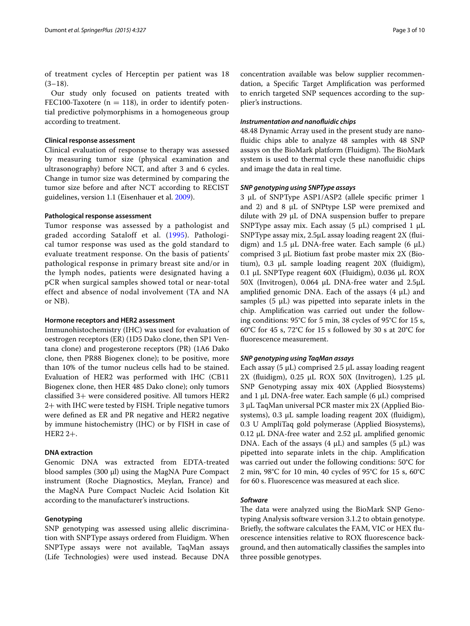of treatment cycles of Herceptin per patient was 18  $(3-18)$ .

Our study only focused on patients treated with FEC100-Taxotere ( $n = 118$ ), in order to identify potential predictive polymorphisms in a homogeneous group according to treatment.

## **Clinical response assessment**

Clinical evaluation of response to therapy was assessed by measuring tumor size (physical examination and ultrasonography) before NCT, and after 3 and 6 cycles. Change in tumor size was determined by comparing the tumor size before and after NCT according to RECIST guidelines, version 1.1 (Eisenhauer et al. [2009](#page-8-3)).

## **Pathological response assessment**

Tumor response was assessed by a pathologist and graded according Sataloff et al. ([1995](#page-8-4)). Pathological tumor response was used as the gold standard to evaluate treatment response. On the basis of patients' pathological response in primary breast site and/or in the lymph nodes, patients were designated having a pCR when surgical samples showed total or near-total effect and absence of nodal involvement (TA and NA or NB).

#### **Hormone receptors and HER2 assessment**

Immunohistochemistry (IHC) was used for evaluation of oestrogen receptors (ER) (1D5 Dako clone, then SP1 Ventana clone) and progesterone receptors (PR) (1A6 Dako clone, then PR88 Biogenex clone); to be positive, more than 10% of the tumor nucleus cells had to be stained. Evaluation of HER2 was performed with IHC (CB11 Biogenex clone, then HER 485 Dako clone); only tumors classified 3+ were considered positive. All tumors HER2 2+ with IHC were tested by FISH. Triple negative tumors were defined as ER and PR negative and HER2 negative by immune histochemistry (IHC) or by FISH in case of HER2 2+.

## **DNA extraction**

Genomic DNA was extracted from EDTA-treated blood samples (300 µl) using the MagNA Pure Compact instrument (Roche Diagnostics, Meylan, France) and the MagNA Pure Compact Nucleic Acid Isolation Kit according to the manufacturer's instructions.

## **Genotyping**

SNP genotyping was assessed using allelic discrimination with SNPType assays ordered from Fluidigm. When SNPType assays were not available, TaqMan assays (Life Technologies) were used instead. Because DNA

concentration available was below supplier recommendation, a Specific Target Amplification was performed to enrich targeted SNP sequences according to the supplier's instructions.

## *Instrumentation and nanofluidic chips*

48.48 Dynamic Array used in the present study are nanofluidic chips able to analyze 48 samples with 48 SNP assays on the BioMark platform (Fluidigm). The BioMark system is used to thermal cycle these nanofluidic chips and image the data in real time.

## *SNP genotyping using SNPType assays*

3 µL of SNPType ASP1/ASP2 (allele specific primer 1 and 2) and 8  $\mu$ L of SNPtype LSP were premixed and dilute with 29  $\mu$ L of DNA suspension buffer to prepare SNPType assay mix. Each assay  $(5 \mu L)$  comprised 1  $\mu L$ SNPType assay mix, 2.5µL assay loading reagent 2X (fluidigm) and 1.5  $\mu$ L DNA-free water. Each sample (6  $\mu$ L) comprised 3 µL Biotium fast probe master mix 2X (Biotium), 0.3 µL sample loading reagent 20X (fluidigm), 0.1 µL SNPType reagent 60X (Fluidigm), 0.036 µL ROX 50X (Invitrogen), 0.064 µL DNA-free water and 2.5µL amplified genomic DNA. Each of the assays  $(4 \mu L)$  and samples  $(5 \mu L)$  was pipetted into separate inlets in the chip. Amplification was carried out under the following conditions: 95°C for 5 min, 38 cycles of 95°C for 15 s, 60°C for 45 s, 72°C for 15 s followed by 30 s at 20°C for fluorescence measurement.

## *SNP genotyping using TaqMan assays*

Each assay (5  $\mu$ L) comprised 2.5  $\mu$ L assay loading reagent 2X (fluidigm),  $0.25$  µL ROX 50X (Invitrogen),  $1.25$  µL SNP Genotyping assay mix 40X (Applied Biosystems) and 1  $\mu$ L DNA-free water. Each sample (6  $\mu$ L) comprised 3 µL TaqMan universal PCR master mix 2X (Applied Biosystems),  $0.3 \mu L$  sample loading reagent  $20X$  (fluidigm), 0.3 U AmpliTaq gold polymerase (Applied Biosystems), 0.12 µL DNA-free water and 2.52 µL amplified genomic DNA. Each of the assays  $(4 \mu L)$  and samples  $(5 \mu L)$  was pipetted into separate inlets in the chip. Amplification was carried out under the following conditions: 50°C for 2 min, 98°C for 10 min, 40 cycles of 95°C for 15 s, 60°C for 60 s. Fluorescence was measured at each slice.

### *Software*

The data were analyzed using the BioMark SNP Genotyping Analysis software version 3.1.2 to obtain genotype. Briefly, the software calculates the FAM, VIC or HEX fluorescence intensities relative to ROX fluorescence background, and then automatically classifies the samples into three possible genotypes.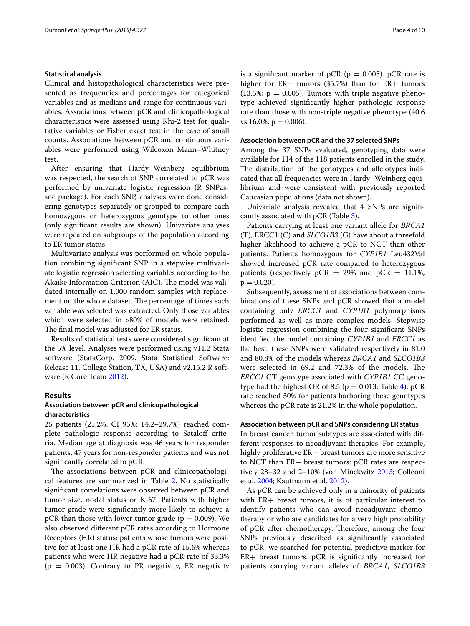#### **Statistical analysis**

Clinical and histopathological characteristics were presented as frequencies and percentages for categorical variables and as medians and range for continuous variables. Associations between pCR and clinicopathological characteristics were assessed using Khi-2 test for qualitative variables or Fisher exact test in the case of small counts. Associations between pCR and continuous variables were performed using Wilcoxon Mann–Whitney test.

After ensuring that Hardy–Weinberg equilibrium was respected, the search of SNP correlated to pCR was performed by univariate logistic regression (R SNPassoc package). For each SNP, analyses were done considering genotypes separately or grouped to compare each homozygous or heterozygous genotype to other ones (only significant results are shown). Univariate analyses were repeated on subgroups of the population according to ER tumor status.

Multivariate analysis was performed on whole population combining significant SNP in a stepwise multivariate logistic regression selecting variables according to the Akaike Information Criterion (AIC). The model was validated internally on 1,000 random samples with replacement on the whole dataset. The percentage of times each variable was selected was extracted. Only those variables which were selected in >80% of models were retained. The final model was adjusted for ER status.

Results of statistical tests were considered significant at the 5% level. Analyses were performed using v11.2 Stata software (StataCorp. 2009. Stata Statistical Software: Release 11. College Station, TX, USA) and v2.15.2 R software (R Core Team [2012](#page-8-5)).

## **Results**

## **Association between pCR and clinicopathological characteristics**

25 patients (21.2%, CI 95%: 14.2–29.7%) reached complete pathologic response according to Sataloff criteria. Median age at diagnosis was 46 years for responder patients, 47 years for non-responder patients and was not significantly correlated to pCR.

The associations between pCR and clinicopathological features are summarized in Table [2](#page-4-0). No statistically significant correlations were observed between pCR and tumor size, nodal status or KI67. Patients with higher tumor grade were significantly more likely to achieve a pCR than those with lower tumor grade ( $p = 0.009$ ). We also observed different pCR rates according to Hormone Receptors (HR) status: patients whose tumors were positive for at least one HR had a pCR rate of 15.6% whereas patients who were HR negative had a pCR rate of 33.3%  $(p = 0.003)$ . Contrary to PR negativity, ER negativity is a significant marker of pCR ( $p = 0.005$ ). pCR rate is higher for ER− tumors (35.7%) than for ER+ tumors  $(13.5\%; p = 0.005)$ . Tumors with triple negative phenotype achieved significantly higher pathologic response rate than those with non-triple negative phenotype (40.6 vs  $16.0\%$ ,  $p = 0.006$ ).

## **Association between pCR and the 37 selected SNPs**

Among the 37 SNPs evaluated, genotyping data were available for 114 of the 118 patients enrolled in the study. The distribution of the genotypes and allelotypes indicated that all frequencies were in Hardy–Weinberg equilibrium and were consistent with previously reported Caucasian populations (data not shown).

Univariate analysis revealed that 4 SNPs are significantly associated with pCR (Table [3\)](#page-5-0).

Patients carrying at least one variant allele for *BRCA1* (T), ERCC1 (C) and *SLCO1B3* (G) have about a threefold higher likelihood to achieve a pCR to NCT than other patients. Patients homozygous for *CYP1B1* Leu432Val showed increased pCR rate compared to heterozygous patients (respectively  $pCR = 29\%$  and  $pCR = 11.1\%$ ,  $p = 0.020$ ).

Subsequently, assessment of associations between combinations of these SNPs and pCR showed that a model containing only *ERCC1* and *CYP1B1* polymorphisms performed as well as more complex models. Stepwise logistic regression combining the four significant SNPs identified the model containing *CYP1B1* and *ERCC1* as the best: these SNPs were validated respectively in 81.0 and 80.8% of the models whereas *BRCA1* and *SLCO1B3* were selected in 69.2 and 72.3% of the models. The *ERCC1* CT genotype associated with *CYP1B1* CC genotype had the highest OR of 8.5 ( $p = 0.013$ ; Table [4](#page-5-1)). pCR rate reached 50% for patients harboring these genotypes whereas the pCR rate is 21.2% in the whole population.

## **Association between pCR and SNPs considering ER status**

In breast cancer, tumor subtypes are associated with different responses to neoadjuvant therapies. For example, highly proliferative ER− breast tumors are more sensitive to NCT than ER+ breast tumors: pCR rates are respectively 28–32 and 2–10% (von Minckwitz [2013](#page-9-0); Colleoni et al. [2004](#page-8-6); Kaufmann et al. [2012](#page-8-7)).

As pCR can be achieved only in a minority of patients with ER+ breast tumors, it is of particular interest to identify patients who can avoid neoadjuvant chemotherapy or who are candidates for a very high probability of pCR after chemotherapy. Therefore, among the four SNPs previously described as significantly associated to pCR, we searched for potential predictive marker for ER+ breast tumors. pCR is significantly increased for patients carrying variant alleles of *BRCA1*, *SLCO1B3*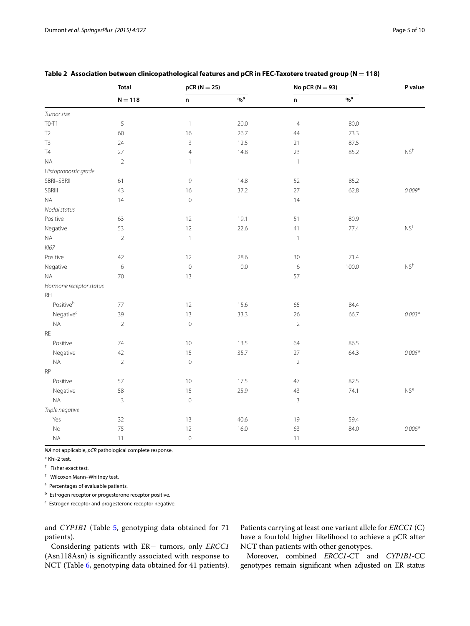|                         | <b>Total</b>   | $pCR(N=25)$               |                  | No pCR ( $N = 93$ ) |                   | P value                                 |  |
|-------------------------|----------------|---------------------------|------------------|---------------------|-------------------|-----------------------------------------|--|
|                         | $N = 118$      | $\mathsf n$               | $%$ <sup>a</sup> | $\mathsf{n}$        | $\%$ <sup>a</sup> |                                         |  |
| Tumor size              |                |                           |                  |                     |                   |                                         |  |
| T0-T1                   | 5              | $\overline{1}$            | 20.0             | $\overline{4}$      | 80.0              |                                         |  |
| T <sub>2</sub>          | 60             | 16                        | 26.7             | 44                  | 73.3              |                                         |  |
| T <sub>3</sub>          | 24             | $\overline{3}$            | 12.5             | 21                  | 87.5              |                                         |  |
| T4                      | 27             | $\overline{4}$            | 14.8             | 23                  | 85.2              | $NS^{+}$                                |  |
| <b>NA</b>               | $\overline{2}$ | $\mathbf{1}$              |                  | $\mathbf{1}$        |                   |                                         |  |
| Histopronostic grade    |                |                           |                  |                     |                   |                                         |  |
| SBRI-SBRII              | 61             | 9                         | 14.8             | 52                  | 85.2              |                                         |  |
| <b>SBRIII</b>           | 43             | 16                        | 37.2             | $27\,$              | 62.8              | $0.009*$                                |  |
| $\sf NA$                | 14             | $\circ$                   |                  | 14                  |                   |                                         |  |
| Nodal status            |                |                           |                  |                     |                   |                                         |  |
| Positive                | 63             | 12                        | 19.1             | 51                  | 80.9              |                                         |  |
| Negative                | 53             | 12                        | 22.6             | 41                  | 77.4              | $NS^{+}$                                |  |
| $\sf NA$                | $\sqrt{2}$     | $\ensuremath{\mathsf{1}}$ |                  | $\overline{1}$      |                   |                                         |  |
| KI67                    |                |                           |                  |                     |                   |                                         |  |
| Positive                | 42             | 12                        | 28.6             | 30                  | 71.4              |                                         |  |
| Negative                | 6              | $\circ$                   | 0.0              | $\,$ 6 $\,$         | 100.0             | $NS+$                                   |  |
| <b>NA</b>               | 70             | 13                        |                  | 57                  |                   |                                         |  |
| Hormone receptor status |                |                           |                  |                     |                   |                                         |  |
| RH                      |                |                           |                  |                     |                   |                                         |  |
| Positiveb               | 77             | 12                        | 15.6             | 65                  | 84.4              |                                         |  |
| Negative <sup>c</sup>   | 39             | 13                        | 33.3             | 26                  | 66.7              | $0.003*$                                |  |
| NA                      | $\sqrt{2}$     | $\mathbf 0$               |                  | $\overline{2}$      |                   |                                         |  |
| RE                      |                |                           |                  |                     |                   |                                         |  |
| Positive                | 74             | 10                        | 13.5             | 64                  | 86.5              |                                         |  |
| Negative                | 42             | 15                        | 35.7             | $27\,$              | 64.3              | $0.005*$                                |  |
| $\sf NA$                | $\sqrt{2}$     | $\circ$                   |                  | $\overline{2}$      |                   |                                         |  |
| RP                      |                |                           |                  |                     |                   |                                         |  |
| Positive                | 57             | 10                        | 17.5             | 47                  | 82.5              |                                         |  |
| Negative                | 58             | 15                        | 25.9             | 43                  | 74.1              | $\ensuremath{\mathsf{NS}^{\mathsf{*}}}$ |  |
| $\sf NA$                | 3              | $\mathbf 0$               |                  | 3                   |                   |                                         |  |
| Triple negative         |                |                           |                  |                     |                   |                                         |  |
| Yes                     | 32             | 13                        | 40.6             | 19                  | 59.4              |                                         |  |
| No                      | 75             | 12                        | 16.0             | 63                  | 84.0              | $0.006*$                                |  |
| <b>NA</b>               | 11             | $\mathsf{O}\xspace$       |                  | 11                  |                   |                                         |  |

## <span id="page-4-0"></span>**Table 2 Association between clinicopathological features and pCR in FEC-Taxotere treated group (N** = **118)**

*NA* not applicable, *pCR* pathological complete response.

\* Khi-2 test.

† Fisher exact test.

‡ Wilcoxon Mann–Whitney test.

<sup>a</sup> Percentages of evaluable patients.

**b** Estrogen receptor or progesterone receptor positive.

 $c$  Estrogen receptor and progesterone receptor negative.

and *CYP1B1* (Table [5](#page-6-0), genotyping data obtained for 71 patients).

Considering patients with ER− tumors, only *ERCC1* (Asn118Asn) is significantly associated with response to NCT (Table [6,](#page-6-1) genotyping data obtained for 41 patients). Patients carrying at least one variant allele for *ERCC1* (C) have a fourfold higher likelihood to achieve a pCR after NCT than patients with other genotypes.

Moreover, combined *ERCC1*-CT and *CYP1B1*-CC genotypes remain significant when adjusted on ER status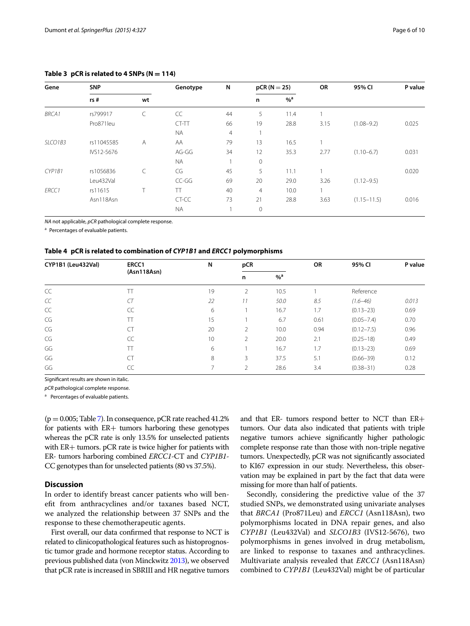| Gene         | <b>SNP</b> |           | Genotype  | N  |                | $pCR (N = 25)$   |      | 95% CI          | P value |
|--------------|------------|-----------|-----------|----|----------------|------------------|------|-----------------|---------|
|              | rs#        | wt        |           |    | n              | $%$ <sup>a</sup> |      |                 |         |
| <b>BRCA1</b> | rs799917   | C         | CC        | 44 | 5              | 11.4             |      |                 |         |
|              | Pro871leu  |           | CT-TT     | 66 | 19             | 28.8             | 3.15 | $(1.08 - 9.2)$  | 0.025   |
|              |            |           | <b>NA</b> | 4  |                |                  |      |                 |         |
| SLCO1B3      | rs11045585 | A         | AA        | 79 | 13             | 16.5             |      |                 |         |
|              | IVS12-5676 |           | AG-GG     | 34 | 12             | 35.3             | 2.77 | $(1.10 - 6.7)$  | 0.031   |
|              |            |           | <b>NA</b> |    | $\mathbf 0$    |                  |      |                 |         |
| CYP1B1       | rs1056836  | $\subset$ | CG        | 45 | 5              | 11.1             |      |                 | 0.020   |
|              | Leu432Val  |           | $CC-GG$   | 69 | 20             | 29.0             | 3.26 | $(1.12 - 9.5)$  |         |
| ERCC1        | rs11615    | Τ         | TT        | 40 | $\overline{4}$ | 10.0             |      |                 |         |
|              | Asn118Asn  |           | CT-CC     | 73 | 21             | 28.8             | 3.63 | $(1.15 - 11.5)$ | 0.016   |
|              |            |           | <b>NA</b> |    | $\mathbf 0$    |                  |      |                 |         |

## <span id="page-5-0"></span>Table  $3$  pCR is related to  $4$  SNPs ( $N = 114$ )

*NA* not applicable, *pCR* pathological complete response.

<sup>a</sup> Percentages of evaluable patients.

#### <span id="page-5-1"></span>**Table 4 pCR is related to combination of** *CYP1B1* **and** *ERCC1* **polymorphisms**

| CYP1B1 (Leu432Val) | ERCC1       | N  | pCR            |                  | <b>OR</b> | 95% CI         | P value |
|--------------------|-------------|----|----------------|------------------|-----------|----------------|---------|
|                    | (Asn118Asn) |    | n              | $%$ <sup>a</sup> |           |                |         |
| CC                 |             | 19 | 2              | 10.5             |           | Reference      |         |
| CC                 | CT          | 22 | 11             | 50.0             | 8.5       | $(1.6 - 46)$   | 0.013   |
| CC                 | CC          | 6  |                | 16.7             | 1.7       | $(0.13 - 23)$  | 0.69    |
| CG                 | TT          | 15 |                | 6.7              | 0.61      | $(0.05 - 7.4)$ | 0.70    |
| CG                 | <b>CT</b>   | 20 | $\mathfrak{D}$ | 10.0             | 0.94      | $(0.12 - 7.5)$ | 0.96    |
| CG                 | CC          | 10 | 2              | 20.0             | 2.1       | $(0.25 - 18)$  | 0.49    |
| GG                 | TT          | 6  |                | 16.7             | 1.7       | $(0.13 - 23)$  | 0.69    |
| GG                 | <b>CT</b>   | 8  | 3              | 37.5             | 5.1       | $(0.66 - 39)$  | 0.12    |
| GG                 | CC          | ⇁  | 2              | 28.6             | 3.4       | $(0.38 - 31)$  | 0.28    |

Significant results are shown in italic.

*pCR* pathological complete response.

a Percentages of evaluable patients.

 $(p = 0.005;$  Table [7](#page-7-0)). In consequence, pCR rate reached 41.2% for patients with ER+ tumors harboring these genotypes whereas the pCR rate is only 13.5% for unselected patients with ER+ tumors. pCR rate is twice higher for patients with ER- tumors harboring combined *ERCC1*-CT and *CYP1B1*- CC genotypes than for unselected patients (80 vs 37.5%).

## **Discussion**

In order to identify breast cancer patients who will benefit from anthracyclines and/or taxanes based NCT, we analyzed the relationship between 37 SNPs and the response to these chemotherapeutic agents.

First overall, our data confirmed that response to NCT is related to clinicopathological features such as histoprognostic tumor grade and hormone receptor status. According to previous published data (von Minckwitz [2013](#page-9-0)), we observed that pCR rate is increased in SBRIII and HR negative tumors and that ER- tumors respond better to NCT than ER+ tumors. Our data also indicated that patients with triple negative tumors achieve significantly higher pathologic complete response rate than those with non-triple negative tumors. Unexpectedly, pCR was not significantly associated to KI67 expression in our study. Nevertheless, this observation may be explained in part by the fact that data were missing for more than half of patients.

Secondly, considering the predictive value of the 37 studied SNPs, we demonstrated using univariate analyses that *BRCA1* (Pro871Leu) and *ERCC1* (Asn118Asn), two polymorphisms located in DNA repair genes, and also *CYP1B1* (Leu432Val) and *SLCO1B3* (IVS12-5676), two polymorphisms in genes involved in drug metabolism, are linked to response to taxanes and anthracyclines. Multivariate analysis revealed that *ERCC1* (Asn118Asn) combined to *CYP1B1* (Leu432Val) might be of particular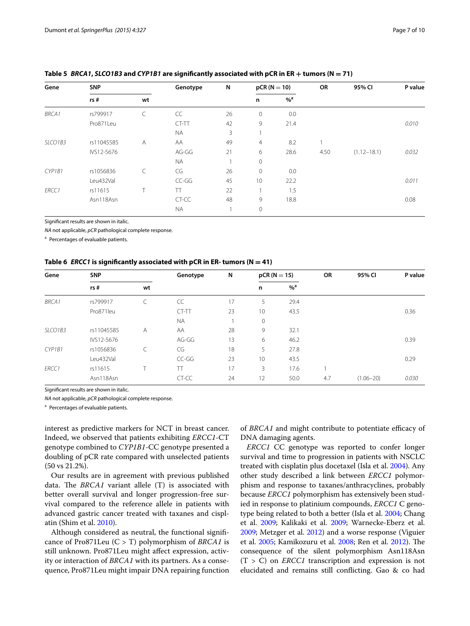| Gene         | <b>SNP</b> |    | Genotype  | N  |              | $pCR (N = 10)$   | OR   | 95% CI          | P value |
|--------------|------------|----|-----------|----|--------------|------------------|------|-----------------|---------|
|              | rs#        | wt |           |    | n            | $%$ <sup>a</sup> |      |                 |         |
| <b>BRCA1</b> | rs799917   | C  | CC        | 26 | $\mathbf{0}$ | 0.0              |      |                 |         |
|              | Pro871Leu  |    | CT-TT     | 42 | 9            | 21.4             |      |                 | 0.010   |
|              |            |    | <b>NA</b> | 3  |              |                  |      |                 |         |
| SLCO1B3      | rs11045585 | A  | AA        | 49 | 4            | 8.2              | 1    |                 |         |
|              | IVS12-5676 |    | AG-GG     | 21 | 6            | 28.6             | 4.50 | $(1.12 - 18.1)$ | 0.032   |
|              |            |    | <b>NA</b> |    | $\mathbf 0$  |                  |      |                 |         |
| CYP1B1       | rs1056836  | C  | CG        | 26 | $\mathbf 0$  | 0.0              |      |                 |         |
|              | Leu432Val  |    | $CC-GG$   | 45 | 10           | 22.2             |      |                 | 0.011   |
| ERCC1        | rs11615    | Τ  | TT        | 22 |              | 1.5              |      |                 |         |
|              | Asn118Asn  |    | CT-CC     | 48 | 9            | 18.8             |      |                 | 0.08    |
|              |            |    | <b>NA</b> | 1  | 0            |                  |      |                 |         |

## <span id="page-6-0"></span>**Table 5** *BRCA1***,** *SLCO1B3* **and** *CYP1B1* **are significantly associated with pCR in ER** + **tumors (N** = **71)**

Significant results are shown in italic.

*NA* not applicable, *pCR* pathological complete response.

<sup>a</sup> Percentages of evaluable patients.

<span id="page-6-1"></span>

|  |  | Table 6 <i>ERCC1</i> is significantly associated with pCR in ER- tumors ( $N = 41$ ) |  |  |  |  |  |
|--|--|--------------------------------------------------------------------------------------|--|--|--|--|--|
|--|--|--------------------------------------------------------------------------------------|--|--|--|--|--|

| Gene         | <b>SNP</b> |    | Genotype  | N  | $pCR (N = 15)$ |                   | OR  | 95% CI        | P value |
|--------------|------------|----|-----------|----|----------------|-------------------|-----|---------------|---------|
|              | rs#        | wt |           |    | n              | $\%$ <sup>a</sup> |     |               |         |
| <b>BRCA1</b> | rs799917   | C  | CC        | 17 | 5              | 29.4              |     |               |         |
|              | Pro871leu  |    | CT-TT     | 23 | 10             | 43.5              |     |               | 0.36    |
|              |            |    | <b>NA</b> |    | 0              |                   |     |               |         |
| SLCO1B3      | rs11045585 | A  | AA        | 28 | 9              | 32.1              |     |               |         |
|              | IVS12-5676 |    | AG-GG     | 13 | 6              | 46.2              |     |               | 0.39    |
| CYP1B1       | rs1056836  |    | CG        | 18 | 5              | 27.8              |     |               |         |
|              | Leu432Val  |    | $CC-GG$   | 23 | 10             | 43.5              |     |               | 0.29    |
| ERCC1        | rs11615    |    | TT        | 17 | 3              | 17.6              |     |               |         |
|              | Asn118Asn  |    | CT-CC     | 24 | 12             | 50.0              | 4.7 | $(1.06 - 20)$ | 0.030   |

Significant results are shown in italic.

*NA* not applicable, *pCR* pathological complete response.

<sup>a</sup> Percentages of evaluable patients.

interest as predictive markers for NCT in breast cancer. Indeed, we observed that patients exhibiting *ERCC1*-CT genotype combined to *CYP1B1*-CC genotype presented a doubling of pCR rate compared with unselected patients (50 vs 21.2%).

Our results are in agreement with previous published data. The *BRCA1* variant allele (T) is associated with better overall survival and longer progression-free survival compared to the reference allele in patients with advanced gastric cancer treated with taxanes and cisplatin (Shim et al. [2010\)](#page-8-8).

Although considered as neutral, the functional significance of Pro871Leu (C > T) polymorphism of *BRCA1* is still unknown. Pro871Leu might affect expression, activity or interaction of *BRCA1* with its partners. As a consequence, Pro871Leu might impair DNA repairing function

of *BRCA1* and might contribute to potentiate efficacy of DNA damaging agents.

*ERCC1* CC genotype was reported to confer longer survival and time to progression in patients with NSCLC treated with cisplatin plus docetaxel (Isla et al. [2004](#page-8-9)). Any other study described a link between *ERCC1* polymorphism and response to taxanes/anthracyclines, probably because *ERCC1* polymorphism has extensively been studied in response to platinium compounds, *ERCC1* C genotype being related to both a better (Isla et al. [2004](#page-8-9); Chang et al. [2009;](#page-8-10) Kalikaki et al. [2009;](#page-8-11) Warnecke-Eberz et al. [2009](#page-9-1); Metzger et al. [2012](#page-8-12)) and a worse response (Viguier et al. [2005](#page-9-2); Kamikozuru et al. [2008](#page-8-13); Ren et al. [2012\)](#page-8-14). The consequence of the silent polymorphism Asn118Asn  $(T > C)$  on *ERCC1* transcription and expression is not elucidated and remains still conflicting. Gao & co had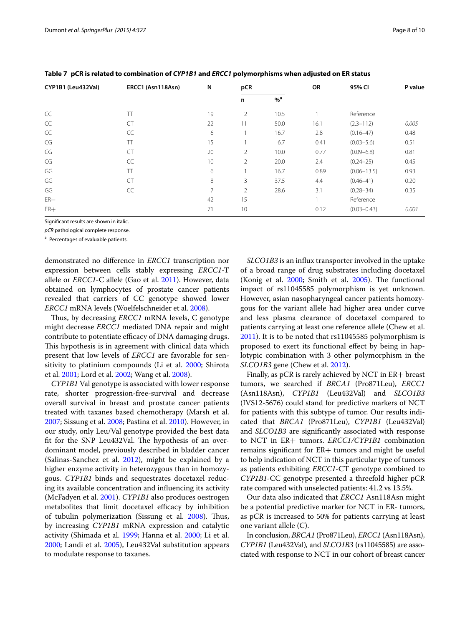| CYP1B1 (Leu432Val) | ERCC1 (Asn118Asn) | N              | pCR            |                   | OR   | 95% CI          | P value |
|--------------------|-------------------|----------------|----------------|-------------------|------|-----------------|---------|
|                    |                   |                | n              | $\%$ <sup>a</sup> |      |                 |         |
| CC                 | TT                | 19             | $\overline{2}$ | 10.5              |      | Reference       |         |
| CC                 | <b>CT</b>         | 22             | 11             | 50.0              | 16.1 | $(2.3 - 112)$   | 0.005   |
| CC                 | CC                | 6              |                | 16.7              | 2.8  | $(0.16 - 47)$   | 0.48    |
| CG                 | TT                | 15             |                | 6.7               | 0.41 | $(0.03 - 5.6)$  | 0.51    |
| CG                 | <b>CT</b>         | 20             | $\overline{2}$ | 10.0              | 0.77 | $(0.09 - 6.8)$  | 0.81    |
| CG                 | CC                | 10             | 2              | 20.0              | 2.4  | $(0.24 - 25)$   | 0.45    |
| GG                 | TT                | 6              |                | 16.7              | 0.89 | $(0.06 - 13.5)$ | 0.93    |
| GG                 | <b>CT</b>         | 8              | 3              | 37.5              | 4.4  | $(0.46 - 41)$   | 0.20    |
| GG                 | CC                | $\overline{7}$ | $\mathfrak{D}$ | 28.6              | 3.1  | $(0.28 - 34)$   | 0.35    |
| $ER-$              |                   | 42             | 15             |                   |      | Reference       |         |
| $ER+$              |                   | 71             | 10             |                   | 0.12 | $(0.03 - 0.43)$ | 0.001   |

<span id="page-7-0"></span>**Table 7 pCR is related to combination of** *CYP1B1* **and** *ERCC1* **polymorphisms when adjusted on ER status**

Significant results are shown in italic.

*pCR* pathological complete response.

a Percentages of evaluable patients.

demonstrated no difference in *ERCC1* transcription nor expression between cells stably expressing *ERCC1*-T allele or *ERCC1*-C allele (Gao et al. [2011\)](#page-8-15). However, data obtained on lymphocytes of prostate cancer patients revealed that carriers of CC genotype showed lower *ERCC1* mRNA levels (Woelfelschneider et al. [2008\)](#page-9-3).

Thus, by decreasing *ERCC1* mRNA levels, C genotype might decrease *ERCC1* mediated DNA repair and might contribute to potentiate efficacy of DNA damaging drugs. This hypothesis is in agreement with clinical data which present that low levels of *ERCC1* are favorable for sensitivity to platinium compounds (Li et al. [2000;](#page-8-16) Shirota et al. [2001;](#page-9-4) Lord et al. [2002;](#page-8-17) Wang et al. [2008\)](#page-9-5).

*CYP1B1* Val genotype is associated with lower response rate, shorter progression-free-survival and decrease overall survival in breast and prostate cancer patients treated with taxanes based chemotherapy (Marsh et al. [2007](#page-8-18); Sissung et al. [2008;](#page-9-6) Pastina et al. [2010\)](#page-8-19). However, in our study, only Leu/Val genotype provided the best data fit for the SNP Leu432Val. The hypothesis of an overdominant model, previously described in bladder cancer (Salinas-Sanchez et al. [2012](#page-8-20)), might be explained by a higher enzyme activity in heterozygous than in homozygous. *CYP1B1* binds and sequestrates docetaxel reducing its available concentration and influencing its activity (McFadyen et al. [2001\)](#page-8-21). *CYP1B1* also produces oestrogen metabolites that limit docetaxel efficacy by inhibition of tubulin polymerization (Sissung et al. [2008\)](#page-9-6). Thus, by increasing *CYP1B1* mRNA expression and catalytic activity (Shimada et al. [1999;](#page-9-7) Hanna et al. [2000;](#page-8-22) Li et al. [2000](#page-8-23); Landi et al. [2005\)](#page-8-24), Leu432Val substitution appears to modulate response to taxanes.

*SLCO1B3* is an influx transporter involved in the uptake of a broad range of drug substrates including docetaxel (Konig et al. [2000;](#page-8-25) Smith et al. [2005](#page-9-8)). The functional impact of rs11045585 polymorphism is yet unknown. However, asian nasopharyngeal cancer patients homozygous for the variant allele had higher area under curve and less plasma clearance of docetaxel compared to patients carrying at least one reference allele (Chew et al. [2011](#page-8-26)). It is to be noted that rs11045585 polymorphism is proposed to exert its functional effect by being in haplotypic combination with 3 other polymorphism in the *SLCO1B3* gene (Chew et al. [2012\)](#page-8-27).

Finally, as pCR is rarely achieved by NCT in ER+ breast tumors, we searched if *BRCA1* (Pro871Leu), *ERCC1* (Asn118Asn), *CYP1B1* (Leu432Val) and *SLCO1B3* (IVS12-5676) could stand for predictive markers of NCT for patients with this subtype of tumor. Our results indicated that *BRCA1* (Pro871Leu), *CYP1B1* (Leu432Val) and *SLCO1B3* are significantly associated with response to NCT in ER+ tumors. *ERCC1/CYP1B1* combination remains significant for ER+ tumors and might be useful to help indication of NCT in this particular type of tumors as patients exhibiting *ERCC1*-CT genotype combined to *CYP1B1*-CC genotype presented a threefold higher pCR rate compared with unselected patients: 41.2 vs 13.5%.

Our data also indicated that *ERCC1* Asn118Asn might be a potential predictive marker for NCT in ER- tumors, as pCR is increased to 50% for patients carrying at least one variant allele (C).

In conclusion, *BRCA1* (Pro871Leu), *ERCC1* (Asn118Asn), *CYP1B1* (Leu432Val), and *SLCO1B3* (rs11045585) are associated with response to NCT in our cohort of breast cancer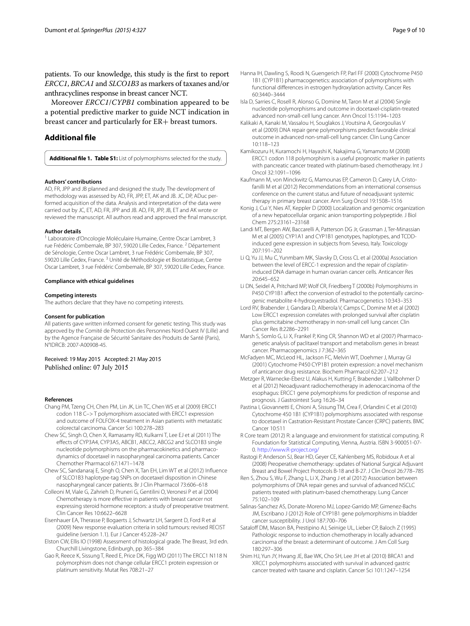patients. To our knowledge, this study is the first to report *ERCC1*, *BRCA1* and *SLCO1B3* as markers of taxanes and/or anthracyclines response in breast cancer NCT.

Moreover *ERCC1*/*CYPB1* combination appeared to be a potential predictive marker to guide NCT indication in breast cancer and particularly for ER+ breast tumors.

## **Additional file**

<span id="page-8-1"></span>**Additional file 1. Table S1:** List of polymorphisms selected for the study.

#### **Authors' contributions**

AD, FR, JPP and JB planned and designed the study. The development of methodology was assessed by AD, FR, JPP, ET, AK and JB. JC, DP, ADuc per‑ formed acquisition of the data. Analysis and interpretation of the data were carried out by JC, ET, AD, FR, JPP and JB. AD, FR, JPP, JB, ET and AK wrote or reviewed the manuscript. All authors read and approved the final manuscript.

#### **Author details**

<sup>1</sup> Laboratoire d'Oncologie Moléculaire Humaine, Centre Oscar Lambret, 3 rue Frédéric Combemale, BP 307, 59020 Lille Cedex, France.<sup>2</sup> Département de Sénologie, Centre Oscar Lambret, 3 rue Frédéric Combemale, BP 307, 59020 Lille Cedex, France.<sup>3</sup> Unité de Méthodologie et Biostatistique, Centre Oscar Lambret, 3 rue Frédéric Combemale, BP 307, 59020 Lille Cedex, France.

#### **Compliance with ethical guidelines**

#### **Competing interests**

The authors declare that they have no competing interests.

#### **Consent for publication**

All patients gave written informed consent for genetic testing. This study was approved by the Comité de Protection des Personnes Nord Ouest IV (Lille) and by the Agence Française de Sécurité Sanitaire des Produits de Santé (Paris), N°IDRCB: 2007-A00908-45.

Received: 19 May 2015 Accepted: 21 May 2015 Published online: 07 July 2015

#### **References**

- <span id="page-8-10"></span>Chang PM, Tzeng CH, Chen PM, Lin JK, Lin TC, Chen WS et al (2009) ERCC1 codon 118 C–> T polymorphism associated with ERCC1 expression and outcome of FOLFOX-4 treatment in Asian patients with metastatic colorectal carcinoma. Cancer Sci 100:278–283
- <span id="page-8-26"></span>Chew SC, Singh O, Chen X, Ramasamy RD, Kulkarni T, Lee EJ et al (2011) The effects of CYP3A4, CYP3A5, ABCB1, ABCC2, ABCG2 and SLCO1B3 single nucleotide polymorphisms on the pharmacokinetics and pharmacodynamics of docetaxel in nasopharyngeal carcinoma patients. Cancer Chemother Pharmacol 67:1471–1478
- <span id="page-8-27"></span>Chew SC, Sandanaraj E, Singh O, Chen X, Tan EH, Lim WT et al (2012) Influence of SLCO1B3 haplotype-tag SNPs on docetaxel disposition in Chinese nasopharyngeal cancer patients. Br J Clin Pharmacol 73:606–618
- <span id="page-8-6"></span>Colleoni M, Viale G, Zahrieh D, Pruneri G, Gentilini O, Veronesi P et al (2004) Chemotherapy is more effective in patients with breast cancer not expressing steroid hormone receptors: a study of preoperative treatment. Clin Cancer Res 10:6622–6628
- <span id="page-8-3"></span>Eisenhauer EA, Therasse P, Bogaerts J, Schwartz LH, Sargent D, Ford R et al (2009) New response evaluation criteria in solid tumours: revised RECIST guideline (version 1.1). Eur J Cancer 45:228–247
- <span id="page-8-2"></span>Elston CW, Ellis IO (1998) Assessment of histological grade. The Breast, 3rd edn. Churchill Livingstone, Edinburgh, pp 365–384
- <span id="page-8-15"></span>Gao R, Reece K, Sissung T, Reed E, Price DK, Figg WD (2011) The ERCC1 N118 N polymorphism does not change cellular ERCC1 protein expression or platinum sensitivity. Mutat Res 708:21–27
- <span id="page-8-22"></span>Hanna IH, Dawling S, Roodi N, Guengerich FP, Parl FF (2000) Cytochrome P450 1B1 (CYP1B1) pharmacogenetics: association of polymorphisms with functional differences in estrogen hydroxylation activity. Cancer Res 60:3440–3444
- <span id="page-8-9"></span>Isla D, Sarries C, Rosell R, Alonso G, Domine M, Taron M et al (2004) Single nucleotide polymorphisms and outcome in docetaxel-cisplatin-treated advanced non-small-cell lung cancer. Ann Oncol 15:1194–1203
- <span id="page-8-11"></span>Kalikaki A, Kanaki M, Vassalou H, Souglakos J, Voutsina A, Georgoulias V et al (2009) DNA repair gene polymorphisms predict favorable clinical outcome in advanced non-small-cell lung cancer. Clin Lung Cancer 10:118–123
- <span id="page-8-13"></span>Kamikozuru H, Kuramochi H, Hayashi K, Nakajima G, Yamamoto M (2008) ERCC1 codon 118 polymorphism is a useful prognostic marker in patients with pancreatic cancer treated with platinum-based chemotherapy. Int J Oncol 32:1091–1096
- <span id="page-8-7"></span>Kaufmann M, von Minckwitz G, Mamounas EP, Cameron D, Carey LA, Cristofanilli M et al (2012) Recommendations from an international consensus conference on the current status and future of neoadjuvant systemic therapy in primary breast cancer. Ann Surg Oncol 19:1508–1516
- <span id="page-8-25"></span>Konig J, Cui Y, Nies AT, Keppler D (2000) Localization and genomic organization of a new hepatocellular organic anion transporting polypeptide. J Biol Chem 275:23161–23168
- <span id="page-8-24"></span>Landi MT, Bergen AW, Baccarelli A, Patterson DG Jr, Grassman J, Ter-Minassian M et al (2005) CYP1A1 and CYP1B1 genotypes, haplotypes, and TCDDinduced gene expression in subjects from Seveso, Italy. Toxicology 207:191–202
- <span id="page-8-16"></span>Li Q, Yu JJ, Mu C, Yunmbam MK, Slavsky D, Cross CL et al (2000a) Association between the level of ERCC-1 expression and the repair of cisplatininduced DNA damage in human ovarian cancer cells. Anticancer Res 20:645–652
- <span id="page-8-23"></span>Li DN, Seidel A, Pritchard MP, Wolf CR, Friedberg T (2000b) Polymorphisms in P450 CYP1B1 affect the conversion of estradiol to the potentially carcinogenic metabolite 4-hydroxyestradiol. Pharmacogenetics 10:343–353
- <span id="page-8-17"></span>Lord RV, Brabender J, Gandara D, Alberola V, Camps C, Domine M et al (2002) Low ERCC1 expression correlates with prolonged survival after cisplatin plus gemcitabine chemotherapy in non-small cell lung cancer. Clin Cancer Res 8:2286–2291
- <span id="page-8-18"></span>Marsh S, Somlo G, Li X, Frankel P, King CR, Shannon WD et al (2007) Pharmacogenetic analysis of paclitaxel transport and metabolism genes in breast cancer. Pharmacogenomics J 7:362–365
- <span id="page-8-21"></span>McFadyen MC, McLeod HL, Jackson FC, Melvin WT, Doehmer J, Murray GI (2001) Cytochrome P450 CYP1B1 protein expression: a novel mechanism of anticancer drug resistance. Biochem Pharmacol 62:207–212
- <span id="page-8-12"></span>Metzger R, Warnecke-Eberz U, Alakus H, Kutting F, Brabender J, Vallbohmer D et al (2012) Neoadjuvant radiochemotherapy in adenocarcinoma of the esophagus: ERCC1 gene polymorphisms for prediction of response and prognosis. J Gastrointest Surg 16:26–34
- <span id="page-8-19"></span>Pastina I, Giovannetti E, Chioni A, Sissung TM, Crea F, Orlandini C et al (2010) Cytochrome 450 1B1 (CYP1B1) polymorphisms associated with response to docetaxel in Castration-Resistant Prostate Cancer (CRPC) patients. BMC Cancer 10:511
- <span id="page-8-5"></span>R Core team (2012) R: a language and environment for statistical computing. R Foundation for Statistical Computing, Vienna, Austria. ISBN 3-900051-07-0.<http://www.R-project.org/>
- <span id="page-8-0"></span>Rastogi P, Anderson SJ, Bear HD, Geyer CE, Kahlenberg MS, Robidoux A et al (2008) Preoperative chemotherapy: updates of National Surgical Adjuvant Breast and Bowel Project Protocols B-18 and B-27. J Clin Oncol 26:778–785
- <span id="page-8-14"></span>Ren S, Zhou S, Wu F, Zhang L, Li X, Zhang J et al (2012) Association between polymorphisms of DNA repair genes and survival of advanced NSCLC patients treated with platinum-based chemotherapy. Lung Cancer 75:102–109
- <span id="page-8-20"></span>Salinas-Sanchez AS, Donate-Moreno MJ, Lopez-Garrido MP, Gimenez-Bachs JM, Escribano J (2012) Role of CYP1B1 gene polymorphisms in bladder cancer susceptibility. J Urol 187:700–706
- <span id="page-8-4"></span>Sataloff DM, Mason BA, Prestipino AJ, Seinige UL, Lieber CP, Baloch Z (1995) Pathologic response to induction chemotherapy in locally advanced carcinoma of the breast: a determinant of outcome. J Am Coll Surg 180:297–306
- <span id="page-8-8"></span>Shim HJ, Yun JY, Hwang JE, Bae WK, Cho SH, Lee JH et al (2010) BRCA1 and XRCC1 polymorphisms associated with survival in advanced gastric cancer treated with taxane and cisplatin. Cancer Sci 101:1247–1254